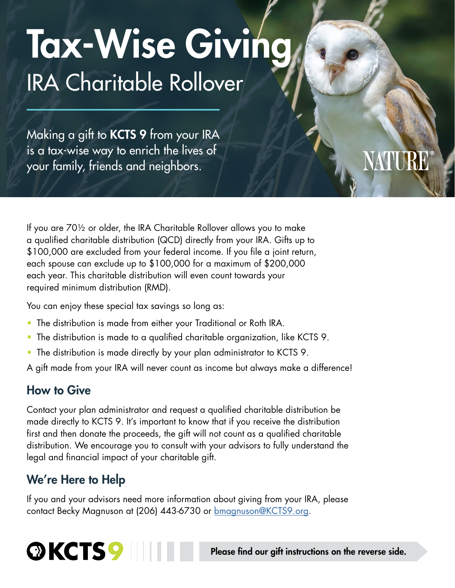# Tax-Wise Giving IRA Charitable Rollover

Making a gift to KCTS 9 from your IRA is a tax-wise way to enrich the lives of your family, friends and neighbors.

If you are 70½ or older, the IRA Charitable Rollover allows you to make a qualified charitable distribution (QCD) directly from your IRA. Gifts up to \$100,000 are excluded from your federal income. If you file a joint return, each spouse can exclude up to \$100,000 for a maximum of \$200,000 each year. This charitable distribution will even count towards your required minimum distribution (RMD).

You can enjoy these special tax savings so long as:

- The distribution is made from either your Traditional or Roth IRA.
- The distribution is made to a qualified charitable organization, like KCTS 9.
- The distribution is made directly by your plan administrator to KCTS 9.

A gift made from your IRA will never count as income but always make a difference!

#### How to Give

Contact your plan administrator and request a qualified charitable distribution be made directly to KCTS 9. It's important to know that if you receive the distribution first and then donate the proceeds, the gift will not count as a qualified charitable distribution. We encourage you to consult with your advisors to fully understand the legal and financial impact of your charitable gift.

#### We're Here to Help

If you and your advisors need more information about giving from your IRA, please contact Becky Magnuson at (206) 443-6730 or **bmagnuson@KCTS9.org**.



Please find our gift instructions on the reverse side.